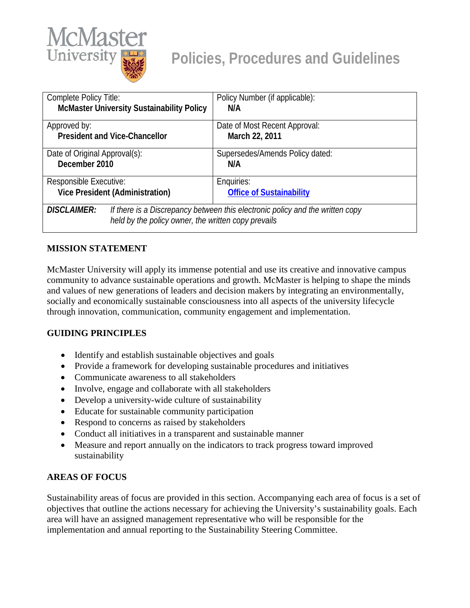

| Complete Policy Title:                                                                                                                                     | Policy Number (if applicable):                  |
|------------------------------------------------------------------------------------------------------------------------------------------------------------|-------------------------------------------------|
| <b>McMaster University Sustainability Policy</b>                                                                                                           | N/A                                             |
| Approved by:<br><b>President and Vice-Chancellor</b>                                                                                                       | Date of Most Recent Approval:<br>March 22, 2011 |
| Date of Original Approval(s):<br>December 2010                                                                                                             | Supersedes/Amends Policy dated:<br>N/A          |
| Responsible Executive:                                                                                                                                     | Enquiries:                                      |
| <b>Vice President (Administration)</b>                                                                                                                     | <b>Office of Sustainability</b>                 |
| <b>DISCLAIMER:</b><br>If there is a Discrepancy between this electronic policy and the written copy<br>held by the policy owner, the written copy prevails |                                                 |

# **MISSION STATEMENT**

McMaster University will apply its immense potential and use its creative and innovative campus community to advance sustainable operations and growth. McMaster is helping to shape the minds and values of new generations of leaders and decision makers by integrating an environmentally, socially and economically sustainable consciousness into all aspects of the university lifecycle through innovation, communication, community engagement and implementation.

#### **GUIDING PRINCIPLES**

- Identify and establish sustainable objectives and goals
- Provide a framework for developing sustainable procedures and initiatives
- Communicate awareness to all stakeholders
- Involve, engage and collaborate with all stakeholders
- Develop a university-wide culture of sustainability
- Educate for sustainable community participation
- Respond to concerns as raised by stakeholders
- Conduct all initiatives in a transparent and sustainable manner
- Measure and report annually on the indicators to track progress toward improved sustainability

#### **AREAS OF FOCUS**

Sustainability areas of focus are provided in this section. Accompanying each area of focus is a set of objectives that outline the actions necessary for achieving the University's sustainability goals. Each area will have an assigned management representative who will be responsible for the implementation and annual reporting to the Sustainability Steering Committee.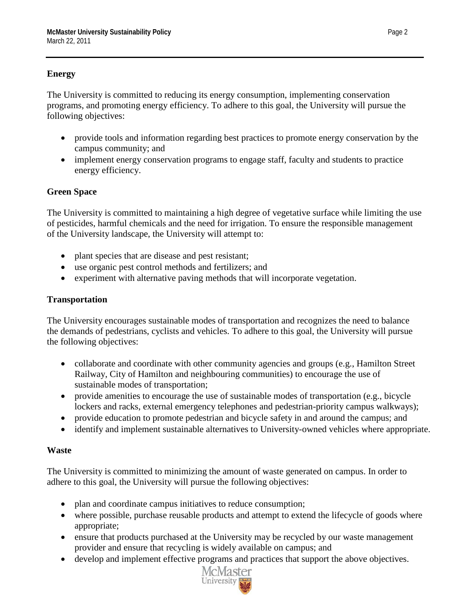# **Energy**

The University is committed to reducing its energy consumption, implementing conservation programs, and promoting energy efficiency. To adhere to this goal, the University will pursue the following objectives:

- provide tools and information regarding best practices to promote energy conservation by the campus community; and
- implement energy conservation programs to engage staff, faculty and students to practice energy efficiency.

# **Green Space**

The University is committed to maintaining a high degree of vegetative surface while limiting the use of pesticides, harmful chemicals and the need for irrigation. To ensure the responsible management of the University landscape, the University will attempt to:

- plant species that are disease and pest resistant;
- use organic pest control methods and fertilizers; and
- experiment with alternative paving methods that will incorporate vegetation.

# **Transportation**

The University encourages sustainable modes of transportation and recognizes the need to balance the demands of pedestrians, cyclists and vehicles. To adhere to this goal, the University will pursue the following objectives:

- collaborate and coordinate with other community agencies and groups (e.g., Hamilton Street Railway, City of Hamilton and neighbouring communities) to encourage the use of sustainable modes of transportation;
- provide amenities to encourage the use of sustainable modes of transportation (e.g., bicycle lockers and racks, external emergency telephones and pedestrian-priority campus walkways);
- provide education to promote pedestrian and bicycle safety in and around the campus; and
- identify and implement sustainable alternatives to University-owned vehicles where appropriate.

#### **Waste**

The University is committed to minimizing the amount of waste generated on campus. In order to adhere to this goal, the University will pursue the following objectives:

- plan and coordinate campus initiatives to reduce consumption;
- where possible, purchase reusable products and attempt to extend the lifecycle of goods where appropriate;
- ensure that products purchased at the University may be recycled by our waste management provider and ensure that recycling is widely available on campus; and
- develop and implement effective programs and practices that support the above objectives.

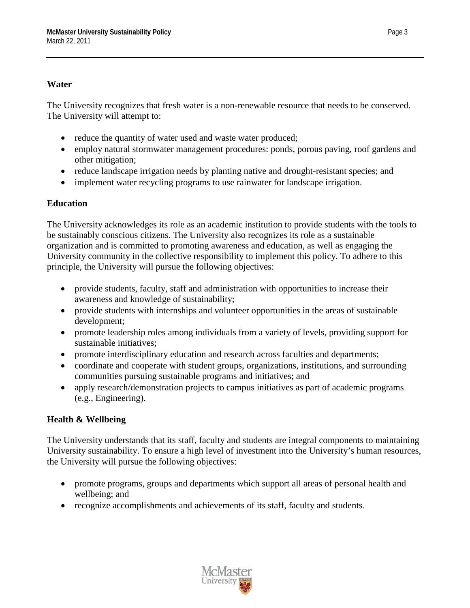#### **Water**

The University recognizes that fresh water is a non-renewable resource that needs to be conserved. The University will attempt to:

- reduce the quantity of water used and waste water produced;
- employ natural stormwater management procedures: ponds, porous paving, roof gardens and other mitigation;
- reduce landscape irrigation needs by planting native and drought-resistant species; and
- implement water recycling programs to use rainwater for landscape irrigation.

#### **Education**

The University acknowledges its role as an academic institution to provide students with the tools to be sustainably conscious citizens. The University also recognizes its role as a sustainable organization and is committed to promoting awareness and education, as well as engaging the University community in the collective responsibility to implement this policy. To adhere to this principle, the University will pursue the following objectives:

- provide students, faculty, staff and administration with opportunities to increase their awareness and knowledge of sustainability;
- provide students with internships and volunteer opportunities in the areas of sustainable development;
- promote leadership roles among individuals from a variety of levels, providing support for sustainable initiatives;
- promote interdisciplinary education and research across faculties and departments;
- coordinate and cooperate with student groups, organizations, institutions, and surrounding communities pursuing sustainable programs and initiatives; and
- apply research/demonstration projects to campus initiatives as part of academic programs (e.g., Engineering).

# **Health & Wellbeing**

The University understands that its staff, faculty and students are integral components to maintaining University sustainability. To ensure a high level of investment into the University's human resources, the University will pursue the following objectives:

- promote programs, groups and departments which support all areas of personal health and wellbeing; and
- recognize accomplishments and achievements of its staff, faculty and students.